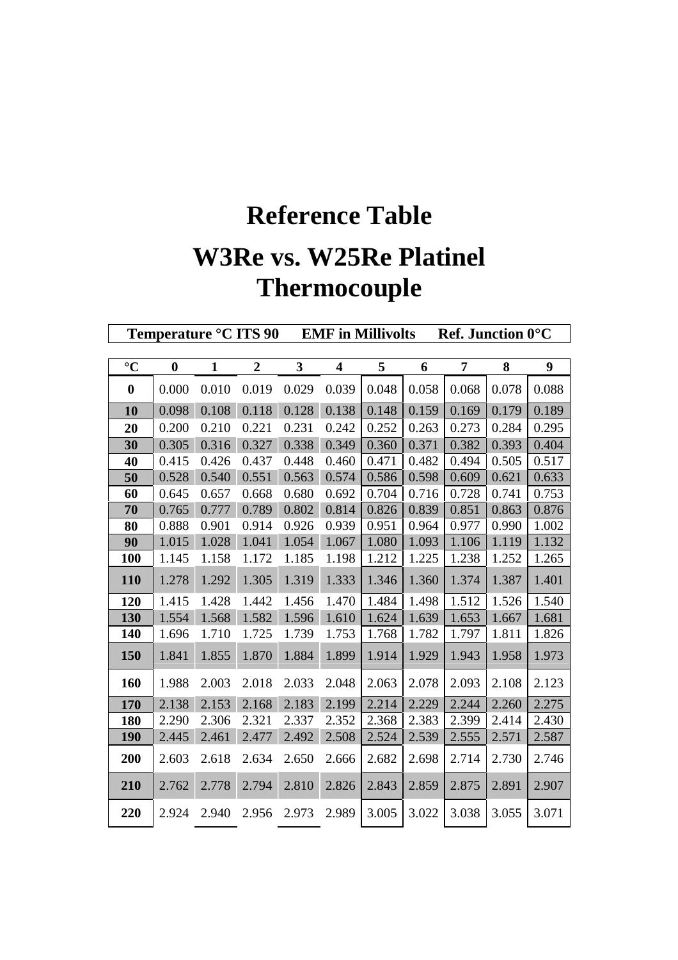## **Reference Table W3Re vs. W25Re Platinel Thermocouple**

**Temperature °C ITS 90 EMF in Millivolts Ref. Junction 0°C**

| $\rm ^{\circ}C$  | $\bf{0}$ | 1     | 2     | 3     | 4     | 5     | 6     | 7     | 8     | 9     |
|------------------|----------|-------|-------|-------|-------|-------|-------|-------|-------|-------|
| $\boldsymbol{0}$ | 0.000    | 0.010 | 0.019 | 0.029 | 0.039 | 0.048 | 0.058 | 0.068 | 0.078 | 0.088 |
| 10               | 0.098    | 0.108 | 0.118 | 0.128 | 0.138 | 0.148 | 0.159 | 0.169 | 0.179 | 0.189 |
| 20               | 0.200    | 0.210 | 0.221 | 0.231 | 0.242 | 0.252 | 0.263 | 0.273 | 0.284 | 0.295 |
| 30               | 0.305    | 0.316 | 0.327 | 0.338 | 0.349 | 0.360 | 0.371 | 0.382 | 0.393 | 0.404 |
| 40               | 0.415    | 0.426 | 0.437 | 0.448 | 0.460 | 0.471 | 0.482 | 0.494 | 0.505 | 0.517 |
| 50               | 0.528    | 0.540 | 0.551 | 0.563 | 0.574 | 0.586 | 0.598 | 0.609 | 0.621 | 0.633 |
| 60               | 0.645    | 0.657 | 0.668 | 0.680 | 0.692 | 0.704 | 0.716 | 0.728 | 0.741 | 0.753 |
| 70               | 0.765    | 0.777 | 0.789 | 0.802 | 0.814 | 0.826 | 0.839 | 0.851 | 0.863 | 0.876 |
| 80               | 0.888    | 0.901 | 0.914 | 0.926 | 0.939 | 0.951 | 0.964 | 0.977 | 0.990 | 1.002 |
| 90               | 1.015    | 1.028 | 1.041 | 1.054 | 1.067 | 1.080 | 1.093 | 1.106 | 1.119 | 1.132 |
| 100              | 1.145    | 1.158 | 1.172 | 1.185 | 1.198 | 1.212 | 1.225 | 1.238 | 1.252 | 1.265 |
| <b>110</b>       | 1.278    | 1.292 | 1.305 | 1.319 | 1.333 | 1.346 | 1.360 | 1.374 | 1.387 | 1.401 |
| 120              | 1.415    | 1.428 | 1.442 | 1.456 | 1.470 | 1.484 | 1.498 | 1.512 | 1.526 | 1.540 |
| 130              | 1.554    | 1.568 | 1.582 | 1.596 | 1.610 | 1.624 | 1.639 | 1.653 | 1.667 | 1.681 |
| <b>140</b>       | 1.696    | 1.710 | 1.725 | 1.739 | 1.753 | 1.768 | 1.782 | 1.797 | 1.811 | 1.826 |
| 150              | 1.841    | 1.855 | 1.870 | 1.884 | 1.899 | 1.914 | 1.929 | 1.943 | 1.958 | 1.973 |
| 160              | 1.988    | 2.003 | 2.018 | 2.033 | 2.048 | 2.063 | 2.078 | 2.093 | 2.108 | 2.123 |
| 170              | 2.138    | 2.153 | 2.168 | 2.183 | 2.199 | 2.214 | 2.229 | 2.244 | 2.260 | 2.275 |
| 180              | 2.290    | 2.306 | 2.321 | 2.337 | 2.352 | 2.368 | 2.383 | 2.399 | 2.414 | 2.430 |
| <b>190</b>       | 2.445    | 2.461 | 2.477 | 2.492 | 2.508 | 2.524 | 2.539 | 2.555 | 2.571 | 2.587 |
| 200              | 2.603    | 2.618 | 2.634 | 2.650 | 2.666 | 2.682 | 2.698 | 2.714 | 2.730 | 2.746 |
| 210              | 2.762    | 2.778 | 2.794 | 2.810 | 2.826 | 2.843 | 2.859 | 2.875 | 2.891 | 2.907 |
| 220              | 2.924    | 2.940 | 2.956 | 2.973 | 2.989 | 3.005 | 3.022 | 3.038 | 3.055 | 3.071 |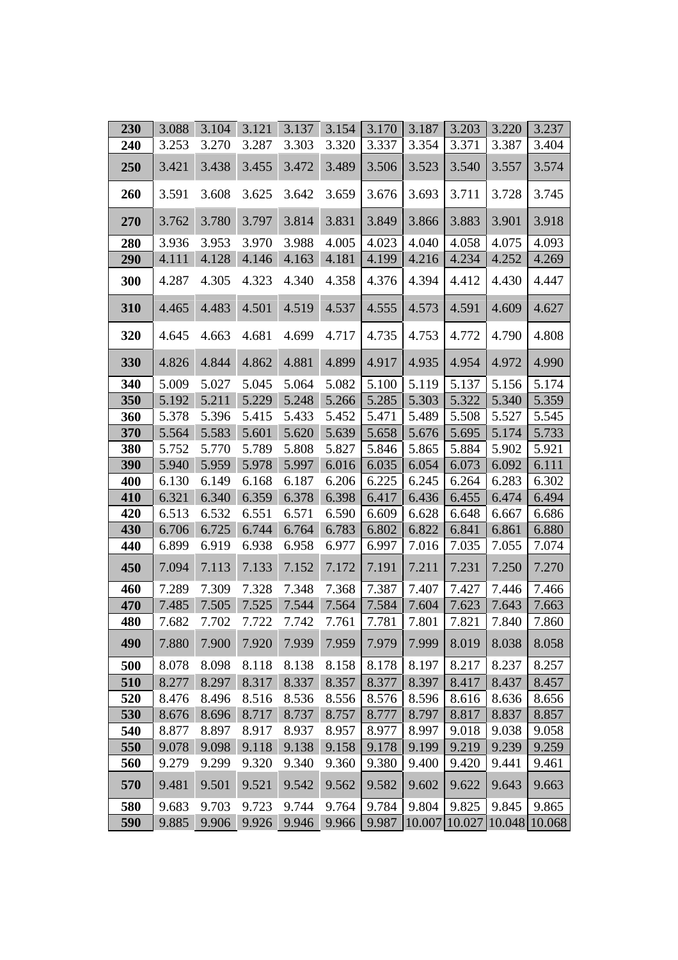| 230 | 3.088 | 3.104 | 3.121 | 3.137 | 3.154 | 3.170 | 3.187 | 3.203 | 3.220                       | 3.237 |
|-----|-------|-------|-------|-------|-------|-------|-------|-------|-----------------------------|-------|
| 240 | 3.253 | 3.270 | 3.287 | 3.303 | 3.320 | 3.337 | 3.354 | 3.371 | 3.387                       | 3.404 |
| 250 | 3.421 | 3.438 | 3.455 | 3.472 | 3.489 | 3.506 | 3.523 | 3.540 | 3.557                       | 3.574 |
| 260 | 3.591 | 3.608 | 3.625 | 3.642 | 3.659 | 3.676 | 3.693 | 3.711 | 3.728                       | 3.745 |
| 270 | 3.762 | 3.780 | 3.797 | 3.814 | 3.831 | 3.849 | 3.866 | 3.883 | 3.901                       | 3.918 |
| 280 | 3.936 | 3.953 | 3.970 | 3.988 | 4.005 | 4.023 | 4.040 | 4.058 | 4.075                       | 4.093 |
| 290 | 4.111 | 4.128 | 4.146 | 4.163 | 4.181 | 4.199 | 4.216 | 4.234 | 4.252                       | 4.269 |
| 300 | 4.287 | 4.305 | 4.323 | 4.340 | 4.358 | 4.376 | 4.394 | 4.412 | 4.430                       | 4.447 |
| 310 | 4.465 | 4.483 | 4.501 | 4.519 | 4.537 | 4.555 | 4.573 | 4.591 | 4.609                       | 4.627 |
| 320 | 4.645 | 4.663 | 4.681 | 4.699 | 4.717 | 4.735 | 4.753 | 4.772 | 4.790                       | 4.808 |
| 330 | 4.826 | 4.844 | 4.862 | 4.881 | 4.899 | 4.917 | 4.935 | 4.954 | 4.972                       | 4.990 |
| 340 | 5.009 | 5.027 | 5.045 | 5.064 | 5.082 | 5.100 | 5.119 | 5.137 | 5.156                       | 5.174 |
| 350 | 5.192 | 5.211 | 5.229 | 5.248 | 5.266 | 5.285 | 5.303 | 5.322 | 5.340                       | 5.359 |
| 360 | 5.378 | 5.396 | 5.415 | 5.433 | 5.452 | 5.471 | 5.489 | 5.508 | 5.527                       | 5.545 |
| 370 | 5.564 | 5.583 | 5.601 | 5.620 | 5.639 | 5.658 | 5.676 | 5.695 | 5.174                       | 5.733 |
| 380 | 5.752 | 5.770 | 5.789 | 5.808 | 5.827 | 5.846 | 5.865 | 5.884 | 5.902                       | 5.921 |
| 390 | 5.940 | 5.959 | 5.978 | 5.997 | 6.016 | 6.035 | 6.054 | 6.073 | 6.092                       | 6.111 |
| 400 | 6.130 | 6.149 | 6.168 | 6.187 | 6.206 | 6.225 | 6.245 | 6.264 | 6.283                       | 6.302 |
| 410 | 6.321 | 6.340 | 6.359 | 6.378 | 6.398 | 6.417 | 6.436 | 6.455 | 6.474                       | 6.494 |
| 420 | 6.513 | 6.532 | 6.551 | 6.571 | 6.590 | 6.609 | 6.628 | 6.648 | 6.667                       | 6.686 |
| 430 | 6.706 | 6.725 | 6.744 | 6.764 | 6.783 | 6.802 | 6.822 | 6.841 | 6.861                       | 6.880 |
| 440 | 6.899 | 6.919 | 6.938 | 6.958 | 6.977 | 6.997 | 7.016 | 7.035 | 7.055                       | 7.074 |
| 450 | 7.094 | 7.113 | 7.133 | 7.152 | 7.172 | 7.191 | 7.211 | 7.231 | 7.250                       | 7.270 |
| 460 | 7.289 | 7.309 | 7.328 | 7.348 | 7.368 | 7.387 | 7.407 | 7.427 | 7.446                       | 7.466 |
| 470 | 7.485 | 7.505 | 7.525 | 7.544 | 7.564 | 7.584 | 7.604 | 7.623 | 7.643                       | 7.663 |
| 480 | 7.682 | 7.702 | 7.722 | 7.742 | 7.761 | 7.781 | 7.801 | 7.821 | 7.840                       | 7.860 |
| 490 | 7.880 | 7.900 | 7.920 | 7.939 | 7.959 | 7.979 | 7.999 | 8.019 | 8.038                       | 8.058 |
| 500 | 8.078 | 8.098 | 8.118 | 8.138 | 8.158 | 8.178 | 8.197 | 8.217 | 8.237                       | 8.257 |
| 510 | 8.277 | 8.297 | 8.317 | 8.337 | 8.357 | 8.377 | 8.397 | 8.417 | 8.437                       | 8.457 |
| 520 | 8.476 | 8.496 | 8.516 | 8.536 | 8.556 | 8.576 | 8.596 | 8.616 | 8.636                       | 8.656 |
| 530 | 8.676 | 8.696 | 8.717 | 8.737 | 8.757 | 8.777 | 8.797 | 8.817 | 8.837                       | 8.857 |
| 540 | 8.877 | 8.897 | 8.917 | 8.937 | 8.957 | 8.977 | 8.997 | 9.018 | 9.038                       | 9.058 |
| 550 | 9.078 | 9.098 | 9.118 | 9.138 | 9.158 | 9.178 | 9.199 | 9.219 | 9.239                       | 9.259 |
| 560 | 9.279 | 9.299 | 9.320 | 9.340 | 9.360 | 9.380 | 9.400 | 9.420 | 9.441                       | 9.461 |
| 570 | 9.481 | 9.501 | 9.521 | 9.542 | 9.562 | 9.582 | 9.602 | 9.622 | 9.643                       | 9.663 |
| 580 | 9.683 | 9.703 | 9.723 | 9.744 | 9.764 | 9.784 | 9.804 | 9.825 | 9.845                       | 9.865 |
| 590 | 9.885 | 9.906 | 9.926 | 9.946 | 9.966 | 9.987 |       |       | 10.007 10.027 10.048 10.068 |       |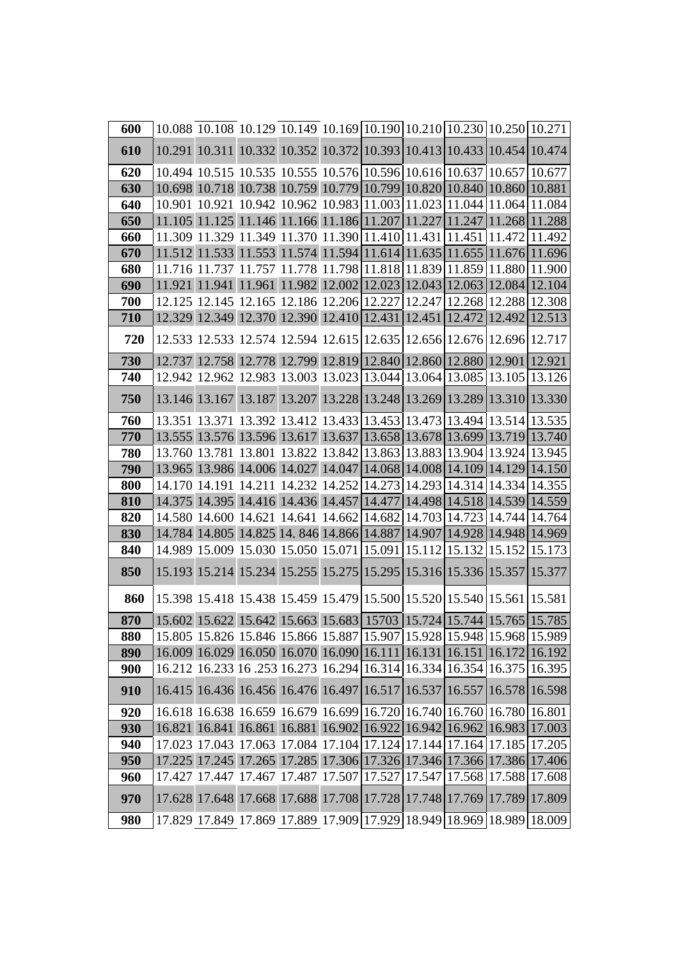| 600        |  | 10.088 10.108 10.129 10.149 10.169 10.190 10.210 10.230 10.250 10.271 |  |  |                                                                       |
|------------|--|-----------------------------------------------------------------------|--|--|-----------------------------------------------------------------------|
| 610        |  | 10.291 10.311 10.332 10.352 10.372 10.393 10.413 10.433 10.454 10.474 |  |  |                                                                       |
| 620        |  | 10.494 10.515 10.535 10.555 10.576 10.596 10.616 10.637 10.657 10.677 |  |  |                                                                       |
| 630        |  | 10.698 10.718 10.738 10.759 10.779 10.799 10.820 10.840 10.860 10.881 |  |  |                                                                       |
| 640        |  | 10.901 10.921 10.942 10.962 10.983 11.003 11.023 11.044 11.064 11.084 |  |  |                                                                       |
| 650        |  |                                                                       |  |  | 11.105 11.125 11.146 11.166 11.186 11.207 11.227 11.247 11.268 11.288 |
| 660        |  |                                                                       |  |  | 11.309 11.329 11.349 11.370 11.390 11.410 11.431 11.451 11.472 11.492 |
| 670        |  |                                                                       |  |  | 11.512 11.533 11.553 11.574 11.594 11.614 11.635 11.655 11.676 11.696 |
| 680        |  | 11.716 11.737 11.757 11.778 11.798 11.818 11.839 11.859 11.880 11.900 |  |  |                                                                       |
| 690        |  | 11.921 11.941 11.961 11.982 12.002 12.023 12.043 12.063 12.084        |  |  | 12.104                                                                |
| 700        |  | 12.125 12.145 12.165 12.186 12.206 12.227 12.247 12.268 12.288 12.308 |  |  |                                                                       |
| 710        |  | 12.329 12.349 12.370 12.390 12.410 12.431 12.451 12.472 12.492 12.513 |  |  |                                                                       |
| 720        |  | 12.533 12.533 12.574 12.594 12.615 12.635 12.656 12.676 12.696 12.717 |  |  |                                                                       |
| 730        |  | 12.737 12.758 12.778 12.799 12.819 12.840 12.860 12.880 12.901 12.921 |  |  |                                                                       |
| 740        |  | 12.942 12.962 12.983 13.003 13.023 13.044 13.064 13.085 13.105 13.126 |  |  |                                                                       |
| 750        |  | 13.146 13.167 13.187 13.207 13.228 13.248 13.269 13.289 13.310 13.330 |  |  |                                                                       |
| 760        |  |                                                                       |  |  | 13.351 13.371 13.392 13.412 13.433 13.453 13.473 13.494 13.514 13.535 |
| 770        |  | 13.555 13.576 13.596 13.617 13.637 13.658 13.678 13.699 13.719 13.740 |  |  |                                                                       |
| 780        |  | 13.760 13.781 13.801 13.822 13.842 13.863 13.883 13.904 13.924 13.945 |  |  |                                                                       |
| 790        |  | 13.965 13.986 14.006 14.027 14.047 14.068 14.008 14.109 14.129 14.150 |  |  |                                                                       |
| 800        |  | 14.170 14.191 14.211 14.232 14.252 14.273 14.293 14.314 14.334 14.355 |  |  |                                                                       |
| 810        |  | 14.375 14.395 14.416 14.436 14.457 14.477 14.498 14.518 14.539 14.559 |  |  |                                                                       |
| 820        |  | 14.580 14.600 14.621 14.641 14.662 14.682 14.703 14.723 14.744        |  |  | 14.764                                                                |
| 830        |  | 14.784 14.805 14.825 14.846 14.866 14.887 14.907 14.928 14.948 14.969 |  |  |                                                                       |
| 840        |  | 14.989 15.009 15.030 15.050 15.071 15.091 15.112 15.132 15.152 15.173 |  |  |                                                                       |
| 850        |  | 15.193 15.214 15.234 15.255 15.275 15.295 15.316 15.336 15.357 15.377 |  |  |                                                                       |
| 860        |  | 15.398 15.418 15.438 15.459 15.479 15.500 15.520 15.540 15.561 15.581 |  |  |                                                                       |
| 870        |  | 15.602 15.622 15.642 15.663 15.683 15703 15.724 15.744 15.765 15.785  |  |  |                                                                       |
| 880        |  |                                                                       |  |  | 15.805 15.826 15.846 15.866 15.887 15.907 15.928 15.948 15.968 15.989 |
| 890        |  |                                                                       |  |  | 16.009 16.029 16.050 16.070 16.090 16.111 16.131 16.151 16.172 16.192 |
| <b>900</b> |  |                                                                       |  |  | 16.212 16.233 16.253 16.273 16.294 16.314 16.334 16.354 16.375 16.395 |
| 910        |  | 16.415 16.436 16.456 16.476 16.497 16.517 16.537 16.557 16.578 16.598 |  |  |                                                                       |
| 920        |  | 16.618 16.638 16.659 16.679 16.699 16.720 16.740 16.760 16.780 16.801 |  |  |                                                                       |
| 930        |  |                                                                       |  |  | 16.821 16.841 16.861 16.881 16.902 16.922 16.942 16.962 16.983 17.003 |
| 940        |  |                                                                       |  |  | 17.023 17.043 17.063 17.084 17.104 17.124 17.144 17.164 17.185 17.205 |
| 950        |  |                                                                       |  |  | 17.225 17.245 17.265 17.285 17.306 17.326 17.346 17.366 17.386 17.406 |
| 960        |  |                                                                       |  |  | 17.427 17.447 17.467 17.487 17.507 17.527 17.547 17.568 17.588 17.608 |
| 970        |  |                                                                       |  |  | 17.628 17.648 17.668 17.688 17.708 17.728 17.748 17.769 17.789 17.809 |
| 980        |  |                                                                       |  |  | 17.829 17.849 17.869 17.889 17.909 17.929 18.949 18.969 18.989 18.009 |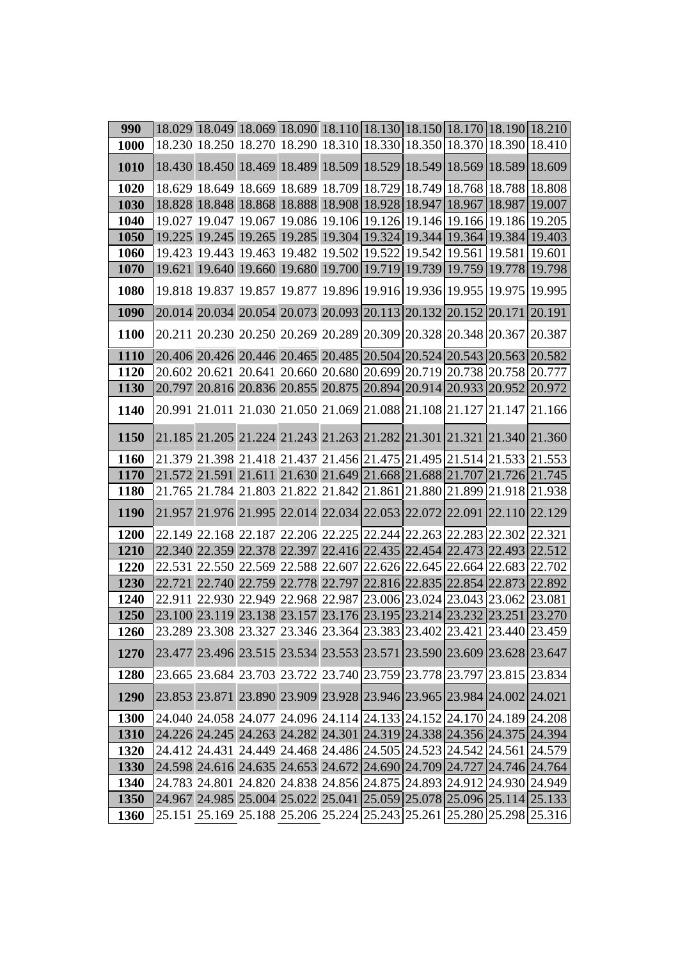| 990         | 18.029 18.049 18.069 18.090 18.110 18.130 18.150 18.170 18.190 18.210 |  |  |  |                                                                       |
|-------------|-----------------------------------------------------------------------|--|--|--|-----------------------------------------------------------------------|
| <b>1000</b> | 18.230 18.250 18.270 18.290 18.310 18.330 18.350 18.370 18.390 18.410 |  |  |  |                                                                       |
| 1010        | 18.430 18.450 18.469 18.489 18.509 18.529 18.549 18.569 18.589 18.609 |  |  |  |                                                                       |
| 1020        | 18.629 18.649 18.669 18.689 18.709 18.729 18.749 18.768 18.788 18.808 |  |  |  |                                                                       |
| 1030        | 18.828 18.848 18.868 18.888 18.908 18.928 18.947 18.967 18.987        |  |  |  | 19.007                                                                |
| 1040        | 19.027 19.047 19.067 19.086 19.106 19.126 19.146 19.166 19.186 19.205 |  |  |  |                                                                       |
| 1050        | 19.225 19.245 19.265 19.285 19.304 19.324 19.344 19.364 19.384        |  |  |  | 19.403                                                                |
| 1060        | 19.423 19.443 19.463 19.482 19.502 19.522 19.542 19.561 19.581 19.601 |  |  |  |                                                                       |
| 1070        | 19.621 19.640 19.660 19.680 19.700 19.719 19.739 19.759 19.778        |  |  |  | 19.798                                                                |
| 1080        | 19.818 19.837 19.857 19.877 19.896 19.916 19.936 19.955 19.975 19.995 |  |  |  |                                                                       |
| 1090        | 20.014 20.034 20.054 20.073 20.093 20.113 20.132 20.152 20.171        |  |  |  | 20.191                                                                |
| 1100        | 20.211 20.230 20.250 20.269 20.289 20.309 20.328 20.348 20.367 20.387 |  |  |  |                                                                       |
| 1110        | 20.406 20.426 20.446 20.465 20.485 20.504 20.524 20.543 20.563 20.582 |  |  |  |                                                                       |
| 1120        | 20.602 20.621 20.641 20.660 20.680 20.699 20.719 20.738 20.758 20.777 |  |  |  |                                                                       |
| 1130        | 20.797 20.816 20.836 20.855 20.875 20.894 20.914 20.933 20.952        |  |  |  | 20.972                                                                |
| 1140        | 20.991 21.011 21.030 21.050 21.069 21.088 21.108 21.127 21.147 21.166 |  |  |  |                                                                       |
| 1150        | 21.185 21.205 21.224 21.243 21.263 21.282 21.301 21.321 21.340 21.360 |  |  |  |                                                                       |
| 1160        | 21.379 21.398 21.418 21.437 21.456 21.475 21.495 21.514 21.533 21.553 |  |  |  |                                                                       |
| <b>1170</b> | 21.572 21.591 21.611 21.630 21.649 21.668 21.688 21.707 21.726        |  |  |  | 21.745                                                                |
| <b>1180</b> | 21.765 21.784 21.803 21.822 21.842 21.861 21.880 21.899 21.918 21.938 |  |  |  |                                                                       |
| 1190        | 21.957 21.976 21.995 22.014 22.034 22.053 22.072 22.091 22.110 22.129 |  |  |  |                                                                       |
| 1200        | 22.149 22.168 22.187 22.206 22.225 22.244 22.263 22.283 22.302 22.321 |  |  |  |                                                                       |
| 1210        | 22.340 22.359 22.378 22.397 22.416 22.435 22.454 22.473 22.493 22.512 |  |  |  |                                                                       |
| 1220        | 22.531 22.550 22.569 22.588 22.607 22.626 22.645 22.664 22.683 22.702 |  |  |  |                                                                       |
| 1230        | 22.721 22.740 22.759 22.778 22.797 22.816 22.835 22.854 22.873 22.892 |  |  |  |                                                                       |
| 1240        | 22.911 22.930 22.949 22.968 22.987 23.006 23.024 23.043 23.062        |  |  |  | 23.081                                                                |
| 1250        | 23.100 23.119 23.138 23.157 23.176 23.195 23.214 23.232 23.251        |  |  |  | 23.270                                                                |
| 1260        |                                                                       |  |  |  | 23.289 23.308 23.327 23.346 23.364 23.383 23.402 23.421 23.440 23.459 |
| 1270        |                                                                       |  |  |  | 23.477 23.496 23.515 23.534 23.553 23.571 23.590 23.609 23.628 23.647 |
| <b>1280</b> | 23.665 23.684 23.703 23.722 23.740 23.759 23.778 23.797 23.815 23.834 |  |  |  |                                                                       |
| 1290        | 23.853 23.871 23.890 23.909 23.928 23.946 23.965 23.984 24.002 24.021 |  |  |  |                                                                       |
| 1300        | 24.040 24.058 24.077 24.096 24.114 24.133 24.152 24.170 24.189 24.208 |  |  |  |                                                                       |
| 1310        | 24.226 24.245 24.263 24.282 24.301 24.319 24.338 24.356 24.375 24.394 |  |  |  |                                                                       |
| 1320        | 24.412 24.431 24.449 24.468 24.486 24.505 24.523 24.542 24.561 24.579 |  |  |  |                                                                       |
| 1330        | 24.598 24.616 24.635 24.653 24.672 24.690 24.709 24.727 24.746 24.764 |  |  |  |                                                                       |
| 1340        | 24.783 24.801 24.820 24.838 24.856 24.875 24.893 24.912 24.930 24.949 |  |  |  |                                                                       |
| 1350        | 24.967 24.985 25.004 25.022 25.041 25.059 25.078 25.096 25.114 25.133 |  |  |  |                                                                       |
| 1360        |                                                                       |  |  |  | 25.151 25.169 25.188 25.206 25.224 25.243 25.261 25.280 25.298 25.316 |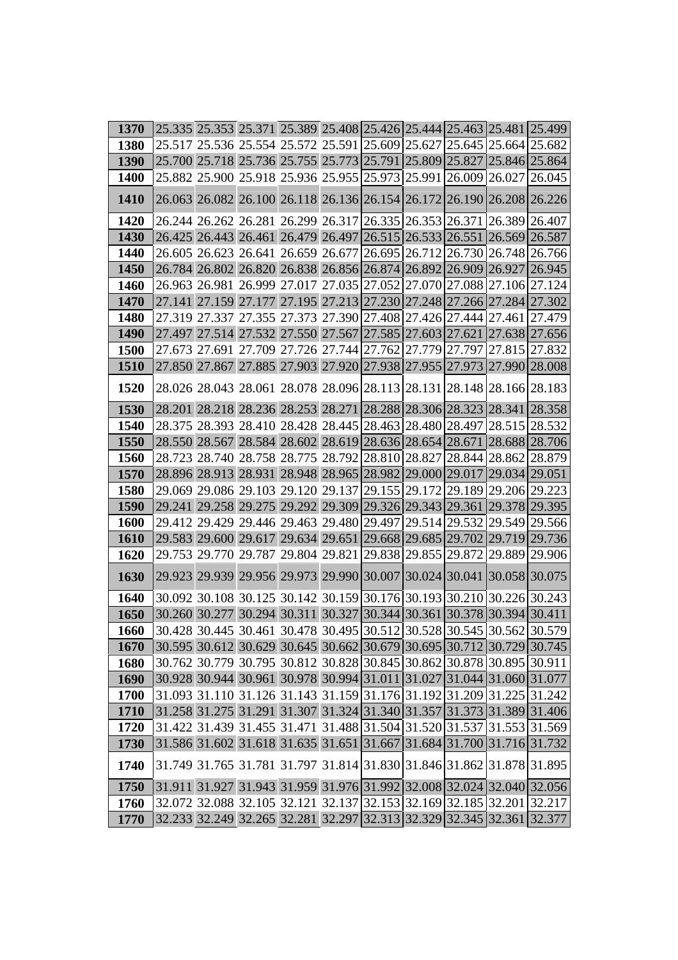| 1370        | 25.335   25.353   25.371   25.389   25.408   25.426   25.444   25.463   25.481   25.499 |  |  |                      |                                    |                                                                       |
|-------------|-----------------------------------------------------------------------------------------|--|--|----------------------|------------------------------------|-----------------------------------------------------------------------|
| 1380        | 25.517 25.536 25.554 25.572 25.591 25.609 25.627 25.645 25.664 25.682                   |  |  |                      |                                    |                                                                       |
| <b>1390</b> | 25.700 25.718 25.736 25.755 25.773 25.791 25.809 25.827 25.846 25.864                   |  |  |                      |                                    |                                                                       |
| <b>1400</b> | 25.882 25.900 25.918 25.936 25.955 25.973 25.991 26.009 26.027                          |  |  |                      |                                    | 26.045                                                                |
| 1410        | 26.063 26.082 26.100 26.118 26.136 26.154 26.172 26.190 26.208 26.226                   |  |  |                      |                                    |                                                                       |
| 1420        |                                                                                         |  |  |                      |                                    | 26.244 26.262 26.281 26.299 26.317 26.335 26.353 26.371 26.389 26.407 |
| 1430        |                                                                                         |  |  |                      |                                    | 26.425 26.443 26.461 26.479 26.497 26.515 26.533 26.551 26.569 26.587 |
| 1440        | 26.605 26.623 26.641 26.659 26.677 26.695 26.712 26.730 26.748 26.766                   |  |  |                      |                                    |                                                                       |
| 1450        | 26.784 26.802 26.820 26.838 26.856 26.874 26.892 26.909 26.927 26.945                   |  |  |                      |                                    |                                                                       |
| <b>1460</b> | 26.963 26.981 26.999 27.017 27.035 27.052 27.070 27.088 27.106 27.124                   |  |  |                      |                                    |                                                                       |
| 1470        | 27.141 27.159 27.177 27.195 27.213 27.230 27.248 27.266 27.284 27.302                   |  |  |                      |                                    |                                                                       |
| 1480        | 27.319 27.337 27.355 27.373 27.390 27.408 27.426 27.444 27.461 27.479                   |  |  |                      |                                    |                                                                       |
| <b>1490</b> |                                                                                         |  |  |                      |                                    | 27.497 27.514 27.532 27.550 27.567 27.585 27.603 27.621 27.638 27.656 |
| 1500        | 27.673 27.691 27.709 27.726 27.744 27.762 27.779 27.797 27.815 27.832                   |  |  |                      |                                    |                                                                       |
| <b>1510</b> | 27.850 27.867 27.885 27.903 27.920 27.938 27.955 27.973 27.990                          |  |  |                      |                                    | 28.008                                                                |
| 1520        | 28.026 28.043 28.061 28.078 28.096 28.113 28.131 28.148 28.166 28.183                   |  |  |                      |                                    |                                                                       |
| 1530        |                                                                                         |  |  |                      |                                    | 28.201 28.218 28.236 28.253 28.271 28.288 28.306 28.323 28.341 28.358 |
| 1540        |                                                                                         |  |  |                      |                                    | 28.375 28.393 28.410 28.428 28.445 28.463 28.480 28.497 28.515 28.532 |
| 1550        |                                                                                         |  |  |                      |                                    | 28.550 28.567 28.584 28.602 28.619 28.636 28.654 28.671 28.688 28.706 |
| <b>1560</b> | 28.723 28.740 28.758 28.775 28.792 28.810 28.827 28.844 28.862 28.879                   |  |  |                      |                                    |                                                                       |
| 1570        | 28.896 28.913 28.931 28.948 28.965 28.982 29.000 29.017 29.034 29.051                   |  |  |                      |                                    |                                                                       |
| 1580        | 29.069 29.086 29.103 29.120 29.137                                                      |  |  |                      | 29.155 29.172 29.189 29.206 29.223 |                                                                       |
| 1590        | 29.241 29.258 29.275 29.292 29.309                                                      |  |  |                      |                                    | 29.326 29.343 29.361 29.378 29.395                                    |
| 1600        |                                                                                         |  |  |                      |                                    | 29.412 29.429 29.446 29.463 29.480 29.497 29.514 29.532 29.549 29.566 |
| 1610        |                                                                                         |  |  |                      |                                    | 29.583 29.600 29.617 29.634 29.651 29.668 29.685 29.702 29.719 29.736 |
| 1620        | 29.753 29.770 29.787 29.804 29.821                                                      |  |  | 29.838 29.855 29.872 |                                    | 29.889 29.906                                                         |
| 1630        | 29.923 29.939 29.956 29.973 29.990 30.007 30.024 30.041 30.058 30.075                   |  |  |                      |                                    |                                                                       |
| 1640        |                                                                                         |  |  |                      |                                    | 30.092 30.108 30.125 30.142 30.159 30.176 30.193 30.210 30.226 30.243 |
| 1650        | 30.260 30.277 30.294 30.311 30.327 30.344 30.361 30.378 30.394 30.411                   |  |  |                      |                                    |                                                                       |
| 1660        |                                                                                         |  |  |                      |                                    | 30.428 30.445 30.461 30.478 30.495 30.512 30.528 30.545 30.562 30.579 |
| 1670        |                                                                                         |  |  |                      |                                    | 30.595 30.612 30.629 30.645 30.662 30.679 30.695 30.712 30.729 30.745 |
| 1680        |                                                                                         |  |  |                      |                                    | 30.762 30.779 30.795 30.812 30.828 30.845 30.862 30.878 30.895 30.911 |
| 1690        |                                                                                         |  |  |                      |                                    | 30.928 30.944 30.961 30.978 30.994 31.011 31.027 31.044 31.060 31.077 |
| 1700        |                                                                                         |  |  |                      |                                    | 31.093 31.110 31.126 31.143 31.159 31.176 31.192 31.209 31.225 31.242 |
| 1710        |                                                                                         |  |  |                      |                                    | 31.258 31.275 31.291 31.307 31.324 31.340 31.357 31.373 31.389 31.406 |
| 1720        |                                                                                         |  |  |                      |                                    | 31.422 31.439 31.455 31.471 31.488 31.504 31.520 31.537 31.553 31.569 |
| 1730        | 31.586 31.602 31.618 31.635 31.651 31.667 31.684 31.700 31.716 31.732                   |  |  |                      |                                    |                                                                       |
| 1740        |                                                                                         |  |  |                      |                                    | 31.749 31.765 31.781 31.797 31.814 31.830 31.846 31.862 31.878 31.895 |
| 1750        |                                                                                         |  |  |                      |                                    | 31.911 31.927 31.943 31.959 31.976 31.992 32.008 32.024 32.040 32.056 |
| 1760        |                                                                                         |  |  |                      |                                    | 32.072 32.088 32.105 32.121 32.137 32.153 32.169 32.185 32.201 32.217 |
| 1770        |                                                                                         |  |  |                      |                                    | 32.233 32.249 32.265 32.281 32.297 32.313 32.329 32.345 32.361 32.377 |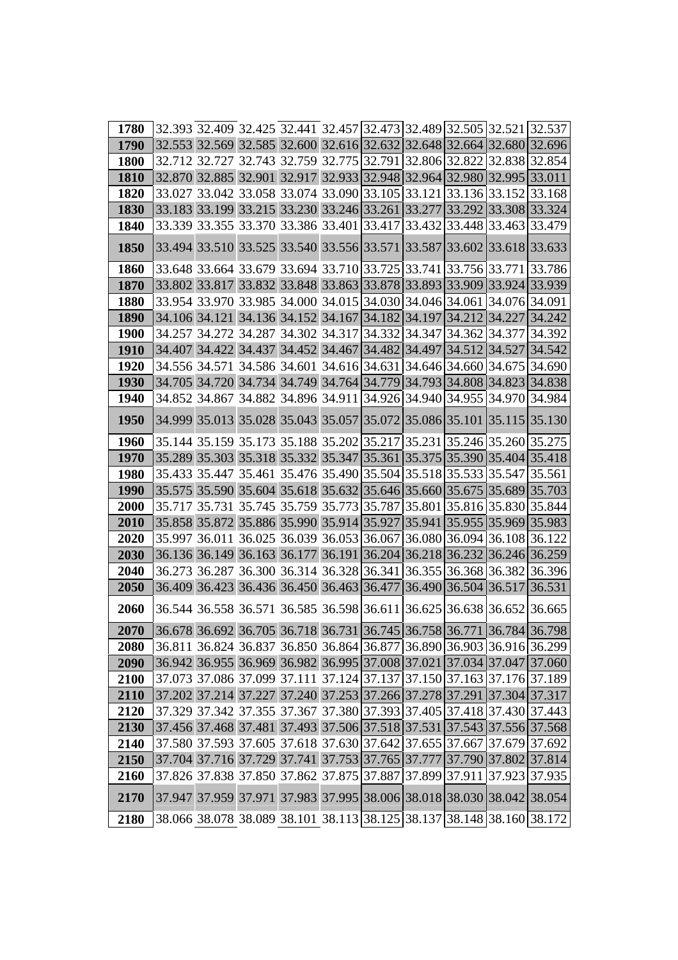| 1780        |                                                                       |  |  |  |                             | 32.393 32.409 32.425 32.441 32.457 32.473 32.489 32.505 32.521 32.537                                                                          |
|-------------|-----------------------------------------------------------------------|--|--|--|-----------------------------|------------------------------------------------------------------------------------------------------------------------------------------------|
| 1790        | 32.553 32.569 32.585 32.600 32.616 32.632 32.648 32.664 32.680 32.696 |  |  |  |                             |                                                                                                                                                |
| <b>1800</b> | 32.712 32.727 32.743 32.759 32.775 32.791                             |  |  |  |                             | 32.806 32.822 32.838 32.854                                                                                                                    |
| 1810        | 32.870 32.885 32.901 32.917 32.933 32.948 32.964 32.980 32.995 33.011 |  |  |  |                             |                                                                                                                                                |
| 1820        |                                                                       |  |  |  |                             | 33.027 33.042 33.058 33.074 33.090 33.105 33.121 33.136 33.152 33.168                                                                          |
| 1830        | 33.183 33.199 33.215 33.230 33.246 33.261                             |  |  |  |                             | 33.277 33.292 33.308 33.324                                                                                                                    |
| 1840        | 33.339 33.355 33.370 33.386 33.401 33.417                             |  |  |  | 33.432 33.448 33.463 33.479 |                                                                                                                                                |
| 1850        | 33.494 33.510 33.525 33.540 33.556 33.571 33.587 33.602 33.618 33.633 |  |  |  |                             |                                                                                                                                                |
| <b>1860</b> |                                                                       |  |  |  |                             | 33.648 33.664 33.679 33.694 33.710 33.725 33.741 33.756 33.771 33.786                                                                          |
| 1870        | 33.802 33.817 33.832 33.848 33.863 33.878 33.893 33.909 33.924 33.939 |  |  |  |                             |                                                                                                                                                |
| 1880        | 33.954 33.970 33.985 34.000 34.015 34.030 34.046 34.061 34.076 34.091 |  |  |  |                             |                                                                                                                                                |
| <b>1890</b> | 34.106 34.121 34.136 34.152 34.167 34.182 34.197 34.212 34.227 34.242 |  |  |  |                             |                                                                                                                                                |
| <b>1900</b> | 34.257 34.272 34.287 34.302 34.317 34.332 34.347 34.362 34.377 34.392 |  |  |  |                             |                                                                                                                                                |
| <b>1910</b> | 34.407 34.422 34.437 34.452 34.467 34.482 34.497 34.512 34.527 34.542 |  |  |  |                             |                                                                                                                                                |
| 1920        | 34.556 34.571 34.586 34.601 34.616 34.631                             |  |  |  |                             | 34.646 34.660 34.675 34.690                                                                                                                    |
| <b>1930</b> | 34.705 34.720 34.734 34.749 34.764 34.779 34.793 34.808 34.823        |  |  |  |                             | 34.838                                                                                                                                         |
| 1940        | 34.852 34.867 34.882 34.896 34.911 34.926 34.940 34.955 34.970 34.984 |  |  |  |                             |                                                                                                                                                |
| 1950        | 34.999 35.013 35.028 35.043 35.057 35.072 35.086 35.101 35.115        |  |  |  |                             | 35.130                                                                                                                                         |
| 1960        |                                                                       |  |  |  |                             | 35.144 35.159 35.173 35.188 35.202 35.217 35.231 35.246 35.260 35.275                                                                          |
| 1970        | 35.289 35.303 35.318 35.332 35.347 35.361 35.375 35.390 35.404 35.418 |  |  |  |                             |                                                                                                                                                |
| <b>1980</b> | 35.433 35.447 35.461 35.476 35.490 35.504 35.518 35.533 35.547 35.561 |  |  |  |                             |                                                                                                                                                |
| <b>1990</b> | 35.575 35.590 35.604 35.618 35.632 35.646 35.660 35.675 35.689 35.703 |  |  |  |                             |                                                                                                                                                |
| 2000        | 35.717 35.731 35.745 35.759 35.773 35.787                             |  |  |  |                             | 35.801 35.816 35.830 35.844                                                                                                                    |
| 2010        | 35.858 35.872 35.886 35.990 35.914 35.927 35.941 35.955 35.969 35.983 |  |  |  |                             |                                                                                                                                                |
| 2020        | 35.997 36.011 36.025 36.039 36.053 36.067 36.080 36.094 36.108 36.122 |  |  |  |                             |                                                                                                                                                |
| 2030        | 36.136 36.149 36.163 36.177 36.191 36.204 36.218 36.232 36.246 36.259 |  |  |  |                             |                                                                                                                                                |
| 2040        | 36.273 36.287 36.300 36.314 36.328 36.341                             |  |  |  |                             | 36.355 36.368 36.382 36.396                                                                                                                    |
| 2050        | 36.409 36.423 36.436 36.450 36.463 36.477                             |  |  |  | 36.490 36.504 36.517        | 36.531                                                                                                                                         |
| 2060        | 36.544 36.558 36.571 36.585 36.598 36.611 36.625 36.638 36.652 36.665 |  |  |  |                             |                                                                                                                                                |
| 2070        |                                                                       |  |  |  |                             | $36.678$ 36.692 36.705 36.718 36.731 36.745 36.758 36.771 36.784 36.798                                                                        |
| 2080        |                                                                       |  |  |  |                             | 36.811 36.824 36.837 36.850 36.864 36.877 36.890 36.903 36.916 36.299                                                                          |
| 2090        |                                                                       |  |  |  |                             | 36.942 36.955 36.969 36.982 36.995 37.008 37.021 37.034 37.047 37.060                                                                          |
| 2100        | 37.073 37.086 37.099 37.111 37.124 37.137 37.150 37.163 37.176 37.189 |  |  |  |                             |                                                                                                                                                |
| 2110        |                                                                       |  |  |  |                             | 37.202 37.214 37.227 37.240 37.253 37.266 37.278 37.291 37.304 37.317                                                                          |
| 2120        | 37.329 37.342 37.355 37.367 37.380 37.393 37.405 37.418 37.430 37.443 |  |  |  |                             |                                                                                                                                                |
| 2130        | 37.456 37.468 37.481 37.493 37.506 37.518 37.531 37.543 37.556 37.568 |  |  |  |                             |                                                                                                                                                |
| 2140        |                                                                       |  |  |  |                             | 37.580 37.593 37.605 37.618 37.630 37.642 37.655 37.667 37.679 37.692                                                                          |
| 2150        |                                                                       |  |  |  |                             | 37.704 37.716 37.729 37.741 37.753 37.765 37.777 37.790 37.802 37.814<br>37.826 37.838 37.850 37.862 37.875 37.887 37.899 37.911 37.923 37.935 |
| 2160        |                                                                       |  |  |  |                             |                                                                                                                                                |
| 2170        | 37.947 37.959 37.971 37.983 37.995 38.006 38.018 38.030 38.042        |  |  |  |                             | 38.054                                                                                                                                         |
| 2180        |                                                                       |  |  |  |                             | 38.066 38.078 38.089 38.101 38.113 38.125 38.137 38.148 38.160 38.172                                                                          |